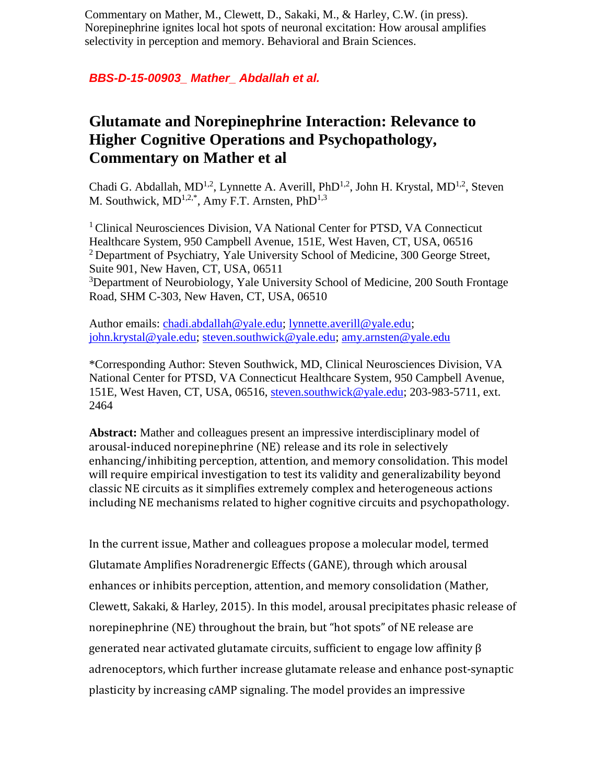Commentary on Mather, M., Clewett, D., Sakaki, M., & Harley, C.W. (in press). Norepinephrine ignites local hot spots of neuronal excitation: How arousal amplifies selectivity in perception and memory. Behavioral and Brain Sciences.

## *BBS-D-15-00903\_ Mather\_ Abdallah et al.*

## **Glutamate and Norepinephrine Interaction: Relevance to Higher Cognitive Operations and Psychopathology, Commentary on Mather et al**

Chadi G. Abdallah,  $MD^{1,2}$ , Lynnette A. Averill, Ph $D^{1,2}$ , John H. Krystal,  $MD^{1,2}$ , Steven M. Southwick,  $MD^{1,2,*}$ , Amy F.T. Arnsten, Ph $D^{1,3}$ 

<sup>1</sup> Clinical Neurosciences Division, VA National Center for PTSD, VA Connecticut Healthcare System, 950 Campbell Avenue, 151E, West Haven, CT, USA, 06516 <sup>2</sup> Department of Psychiatry, Yale University School of Medicine, 300 George Street, Suite 901, New Haven, CT, USA, 06511 <sup>3</sup>Department of Neurobiology, Yale University School of Medicine, 200 South Frontage Road, SHM C-303, New Haven, CT, USA, 06510

Author emails: [chadi.abdallah@yale.edu;](mailto:chadi.abdallah@yale.edu) [lynnette.averill@yale.edu;](mailto:lynnette.averill@yale.edu) [john.krystal@yale.edu;](mailto:john.krystal@yale.edu) [steven.southwick@yale.edu;](mailto:steven.southwick@yale.edu) [amy.arnsten@yale.edu](mailto:amy.arnsten@yale.edu)

\*Corresponding Author: Steven Southwick, MD, Clinical Neurosciences Division, VA National Center for PTSD, VA Connecticut Healthcare System, 950 Campbell Avenue, 151E, West Haven, CT, USA, 06516, [steven.southwick@yale.edu;](mailto:steven.southwick@yale.edu) 203-983-5711, ext. 2464

**Abstract:** Mather and colleagues present an impressive interdisciplinary model of arousal-induced norepinephrine (NE) release and its role in selectively enhancing/inhibiting perception, attention, and memory consolidation. This model will require empirical investigation to test its validity and generalizability beyond classic NE circuits as it simplifies extremely complex and heterogeneous actions including NE mechanisms related to higher cognitive circuits and psychopathology.

In the current issue, Mather and colleagues propose a molecular model, termed Glutamate Amplifies Noradrenergic Effects (GANE), through which arousal enhances or inhibits perception, attention, and memory consolidation (Mather, Clewett, Sakaki, & Harley, 2015). In this model, arousal precipitates phasic release of norepinephrine (NE) throughout the brain, but "hot spots" of NE release are generated near activated glutamate circuits, sufficient to engage low affinity β adrenoceptors, which further increase glutamate release and enhance post-synaptic plasticity by increasing cAMP signaling. The model provides an impressive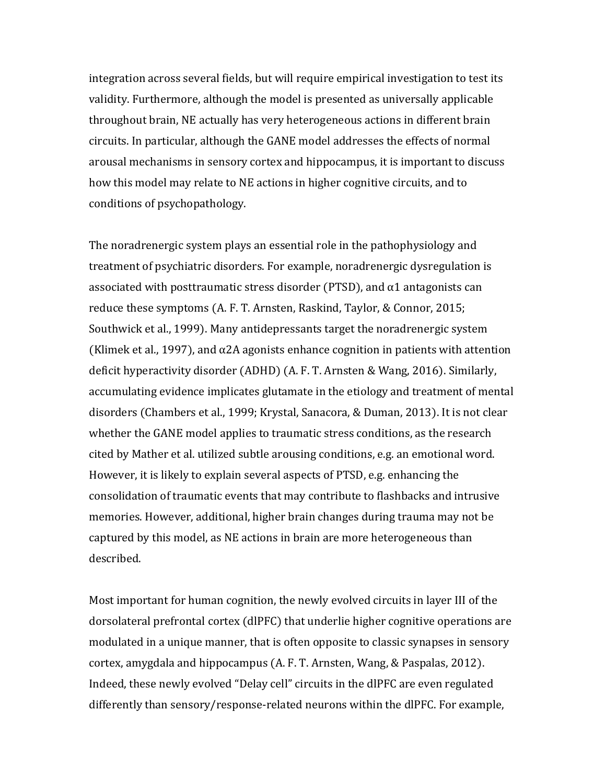integration across several fields, but will require empirical investigation to test its validity. Furthermore, although the model is presented as universally applicable throughout brain, NE actually has very heterogeneous actions in different brain circuits. In particular, although the GANE model addresses the effects of normal arousal mechanisms in sensory cortex and hippocampus, it is important to discuss how this model may relate to NE actions in higher cognitive circuits, and to conditions of psychopathology.

The noradrenergic system plays an essential role in the pathophysiology and treatment of psychiatric disorders. For example, noradrenergic dysregulation is associated with posttraumatic stress disorder (PTSD), and  $\alpha$ 1 antagonists can reduce these symptoms (A. F. T. Arnsten, Raskind, Taylor, & Connor, 2015; Southwick et al., 1999). Many antidepressants target the noradrenergic system (Klimek et al., 1997), and  $\alpha$ 2A agonists enhance cognition in patients with attention deficit hyperactivity disorder (ADHD) (A. F. T. Arnsten & Wang, 2016). Similarly, accumulating evidence implicates glutamate in the etiology and treatment of mental disorders (Chambers et al., 1999; Krystal, Sanacora, & Duman, 2013). It is not clear whether the GANE model applies to traumatic stress conditions, as the research cited by Mather et al. utilized subtle arousing conditions, e.g. an emotional word. However, it is likely to explain several aspects of PTSD, e.g. enhancing the consolidation of traumatic events that may contribute to flashbacks and intrusive memories. However, additional, higher brain changes during trauma may not be captured by this model, as NE actions in brain are more heterogeneous than described.

Most important for human cognition, the newly evolved circuits in layer III of the dorsolateral prefrontal cortex (dlPFC) that underlie higher cognitive operations are modulated in a unique manner, that is often opposite to classic synapses in sensory cortex, amygdala and hippocampus (A. F. T. Arnsten, Wang, & Paspalas, 2012). Indeed, these newly evolved "Delay cell" circuits in the dlPFC are even regulated differently than sensory/response-related neurons within the dlPFC. For example,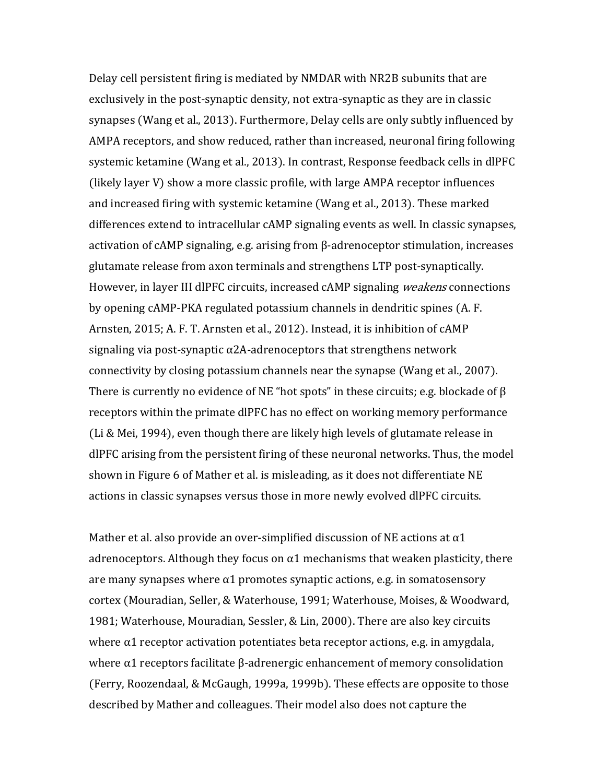Delay cell persistent firing is mediated by NMDAR with NR2B subunits that are exclusively in the post-synaptic density, not extra-synaptic as they are in classic synapses (Wang et al., 2013). Furthermore, Delay cells are only subtly influenced by AMPA receptors, and show reduced, rather than increased, neuronal firing following systemic ketamine (Wang et al., 2013). In contrast, Response feedback cells in dlPFC (likely layer V) show a more classic profile, with large AMPA receptor influences and increased firing with systemic ketamine (Wang et al., 2013). These marked differences extend to intracellular cAMP signaling events as well. In classic synapses, activation of cAMP signaling, e.g. arising from β-adrenoceptor stimulation, increases glutamate release from axon terminals and strengthens LTP post-synaptically. However, in layer III dlPFC circuits, increased cAMP signaling *weakens* connections by opening cAMP-PKA regulated potassium channels in dendritic spines (A. F. Arnsten, 2015; A. F. T. Arnsten et al., 2012). Instead, it is inhibition of cAMP signaling via post-synaptic  $\alpha$ 2A-adrenoceptors that strengthens network connectivity by closing potassium channels near the synapse (Wang et al., 2007). There is currently no evidence of NE "hot spots" in these circuits; e.g. blockade of  $\beta$ receptors within the primate dlPFC has no effect on working memory performance (Li & Mei, 1994), even though there are likely high levels of glutamate release in dlPFC arising from the persistent firing of these neuronal networks. Thus, the model shown in Figure 6 of Mather et al. is misleading, as it does not differentiate NE actions in classic synapses versus those in more newly evolved dlPFC circuits.

Mather et al. also provide an over-simplified discussion of NE actions at  $\alpha$ 1 adrenoceptors. Although they focus on  $\alpha$ 1 mechanisms that weaken plasticity, there are many synapses where  $\alpha$ 1 promotes synaptic actions, e.g. in somatosensory cortex (Mouradian, Seller, & Waterhouse, 1991; Waterhouse, Moises, & Woodward, 1981; Waterhouse, Mouradian, Sessler, & Lin, 2000). There are also key circuits where  $\alpha$ 1 receptor activation potentiates beta receptor actions, e.g. in amygdala, where α1 receptors facilitate β-adrenergic enhancement of memory consolidation (Ferry, Roozendaal, & McGaugh, 1999a, 1999b). These effects are opposite to those described by Mather and colleagues. Their model also does not capture the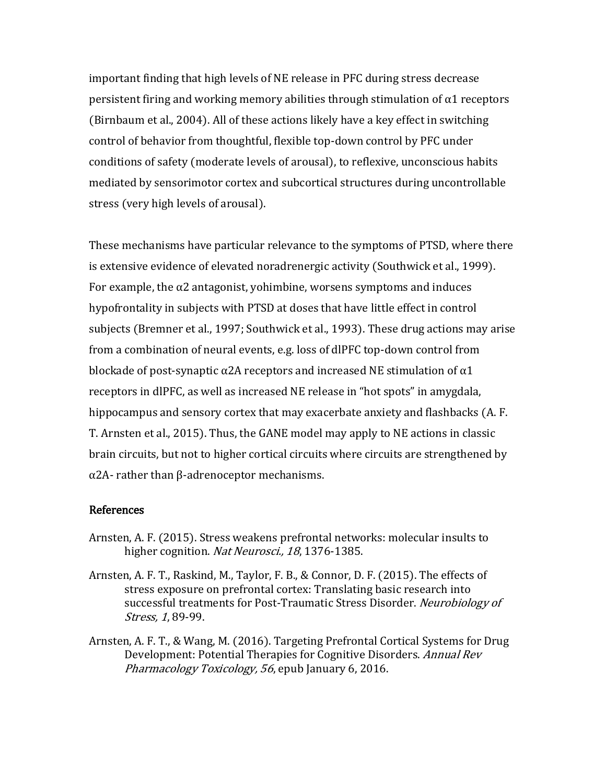important finding that high levels of NE release in PFC during stress decrease persistent firing and working memory abilities through stimulation of  $\alpha$ 1 receptors (Birnbaum et al., 2004). All of these actions likely have a key effect in switching control of behavior from thoughtful, flexible top-down control by PFC under conditions of safety (moderate levels of arousal), to reflexive, unconscious habits mediated by sensorimotor cortex and subcortical structures during uncontrollable stress (very high levels of arousal).

These mechanisms have particular relevance to the symptoms of PTSD, where there is extensive evidence of elevated noradrenergic activity (Southwick et al., 1999). For example, the  $\alpha$ 2 antagonist, yohimbine, worsens symptoms and induces hypofrontality in subjects with PTSD at doses that have little effect in control subjects (Bremner et al., 1997; Southwick et al., 1993). These drug actions may arise from a combination of neural events, e.g. loss of dlPFC top-down control from blockade of post-synaptic  $\alpha$ 2A receptors and increased NE stimulation of  $\alpha$ 1 receptors in dlPFC, as well as increased NE release in "hot spots" in amygdala, hippocampus and sensory cortex that may exacerbate anxiety and flashbacks (A. F. T. Arnsten et al., 2015). Thus, the GANE model may apply to NE actions in classic brain circuits, but not to higher cortical circuits where circuits are strengthened by α2A- rather than β-adrenoceptor mechanisms.

## References

- Arnsten, A. F. (2015). Stress weakens prefrontal networks: molecular insults to higher cognition. Nat Neurosci., 18, 1376-1385.
- Arnsten, A. F. T., Raskind, M., Taylor, F. B., & Connor, D. F. (2015). The effects of stress exposure on prefrontal cortex: Translating basic research into successful treatments for Post-Traumatic Stress Disorder. Neurobiology of Stress, 1, 89-99.
- Arnsten, A. F. T., & Wang, M. (2016). Targeting Prefrontal Cortical Systems for Drug Development: Potential Therapies for Cognitive Disorders. Annual Rev Pharmacology Toxicology, 56, epub January 6, 2016.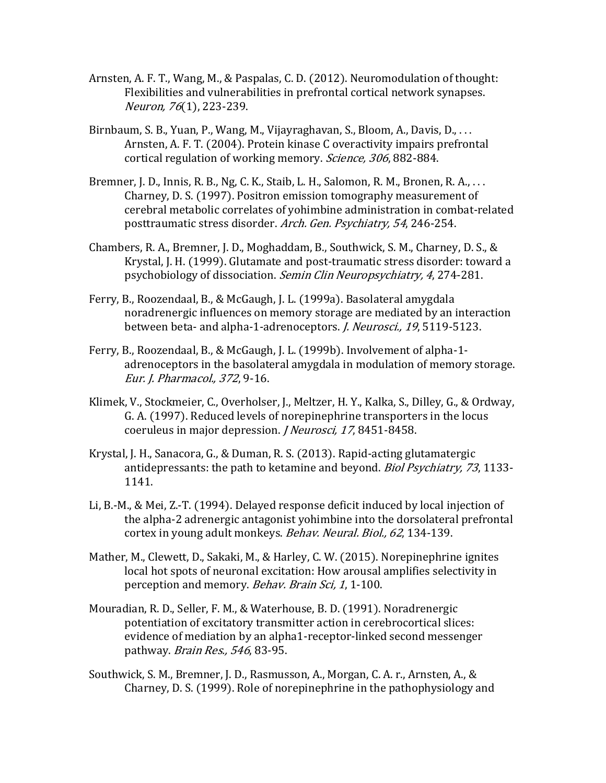- Arnsten, A. F. T., Wang, M., & Paspalas, C. D. (2012). Neuromodulation of thought: Flexibilities and vulnerabilities in prefrontal cortical network synapses. Neuron, 76(1), 223-239.
- Birnbaum, S. B., Yuan, P., Wang, M., Vijayraghavan, S., Bloom, A., Davis, D., . . . Arnsten, A. F. T. (2004). Protein kinase C overactivity impairs prefrontal cortical regulation of working memory. Science, 306, 882-884.
- Bremner, J. D., Innis, R. B., Ng, C. K., Staib, L. H., Salomon, R. M., Bronen, R. A., . . . Charney, D. S. (1997). Positron emission tomography measurement of cerebral metabolic correlates of yohimbine administration in combat-related posttraumatic stress disorder. Arch. Gen. Psychiatry, 54, 246-254.
- Chambers, R. A., Bremner, J. D., Moghaddam, B., Southwick, S. M., Charney, D. S., & Krystal, J. H. (1999). Glutamate and post-traumatic stress disorder: toward a psychobiology of dissociation. Semin Clin Neuropsychiatry, 4, 274-281.
- Ferry, B., Roozendaal, B., & McGaugh, J. L. (1999a). Basolateral amygdala noradrenergic influences on memory storage are mediated by an interaction between beta- and alpha-1-adrenoceptors. *J. Neurosci.*, 19, 5119-5123.
- Ferry, B., Roozendaal, B., & McGaugh, J. L. (1999b). Involvement of alpha-1 adrenoceptors in the basolateral amygdala in modulation of memory storage. Eur. J. Pharmacol., 372, 9-16.
- Klimek, V., Stockmeier, C., Overholser, J., Meltzer, H. Y., Kalka, S., Dilley, G., & Ordway, G. A. (1997). Reduced levels of norepinephrine transporters in the locus coeruleus in major depression. *J Neurosci*, 17, 8451-8458.
- Krystal, J. H., Sanacora, G., & Duman, R. S. (2013). Rapid-acting glutamatergic antidepressants: the path to ketamine and beyond. Biol Psychiatry, 73, 1133- 1141.
- Li, B.-M., & Mei, Z.-T. (1994). Delayed response deficit induced by local injection of the alpha-2 adrenergic antagonist yohimbine into the dorsolateral prefrontal cortex in young adult monkeys. Behav. Neural. Biol., 62, 134-139.
- Mather, M., Clewett, D., Sakaki, M., & Harley, C. W. (2015). Norepinephrine ignites local hot spots of neuronal excitation: How arousal amplifies selectivity in perception and memory. Behav. Brain Sci, 1, 1-100.
- Mouradian, R. D., Seller, F. M., & Waterhouse, B. D. (1991). Noradrenergic potentiation of excitatory transmitter action in cerebrocortical slices: evidence of mediation by an alpha1-receptor-linked second messenger pathway. Brain Res., 546, 83-95.
- Southwick, S. M., Bremner, J. D., Rasmusson, A., Morgan, C. A. r., Arnsten, A., & Charney, D. S. (1999). Role of norepinephrine in the pathophysiology and